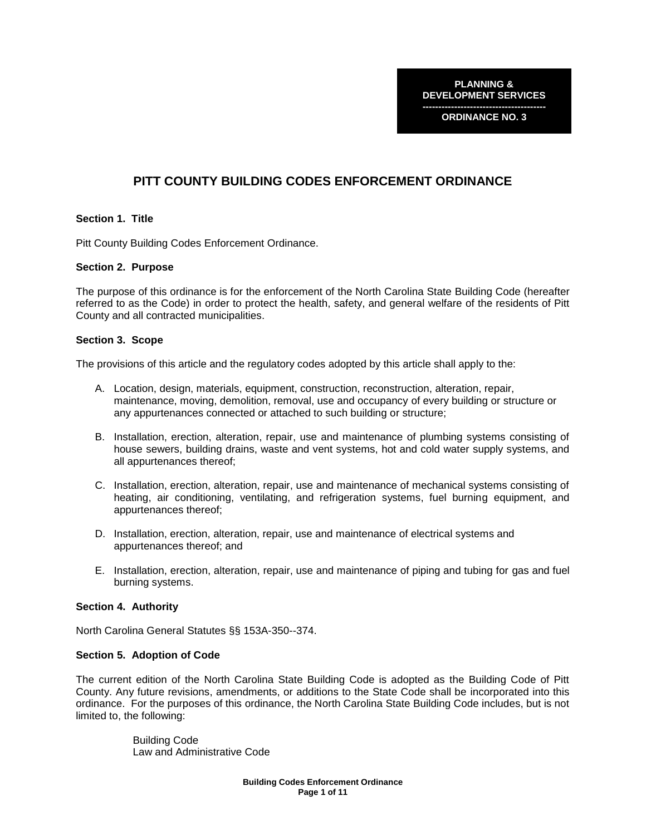**PLANNING & DEVELOPMENT SERVICES**

**--------------------------------------- ORDINANCE NO. 3**

# **PITT COUNTY BUILDING CODES ENFORCEMENT ORDINANCE**

# **Section 1. Title**

Pitt County Building Codes Enforcement Ordinance.

# **Section 2. Purpose**

The purpose of this ordinance is for the enforcement of the North Carolina State Building Code (hereafter referred to as the Code) in order to protect the health, safety, and general welfare of the residents of Pitt County and all contracted municipalities.

# **Section 3. Scope**

The provisions of this article and the regulatory codes adopted by this article shall apply to the:

- A. Location, design, materials, equipment, construction, reconstruction, alteration, repair, maintenance, moving, demolition, removal, use and occupancy of every building or structure or any appurtenances connected or attached to such building or structure;
- B. Installation, erection, alteration, repair, use and maintenance of plumbing systems consisting of house sewers, building drains, waste and vent systems, hot and cold water supply systems, and all appurtenances thereof;
- C. Installation, erection, alteration, repair, use and maintenance of mechanical systems consisting of heating, air conditioning, ventilating, and refrigeration systems, fuel burning equipment, and appurtenances thereof;
- D. Installation, erection, alteration, repair, use and maintenance of electrical systems and appurtenances thereof; and
- E. Installation, erection, alteration, repair, use and maintenance of piping and tubing for gas and fuel burning systems.

# **Section 4. Authority**

North Carolina General Statutes §§ 153A-350--374.

# **Section 5. Adoption of Code**

The current edition of the North Carolina State Building Code is adopted as the Building Code of Pitt County. Any future revisions, amendments, or additions to the State Code shall be incorporated into this ordinance. For the purposes of this ordinance, the North Carolina State Building Code includes, but is not limited to, the following:

> Building Code Law and Administrative Code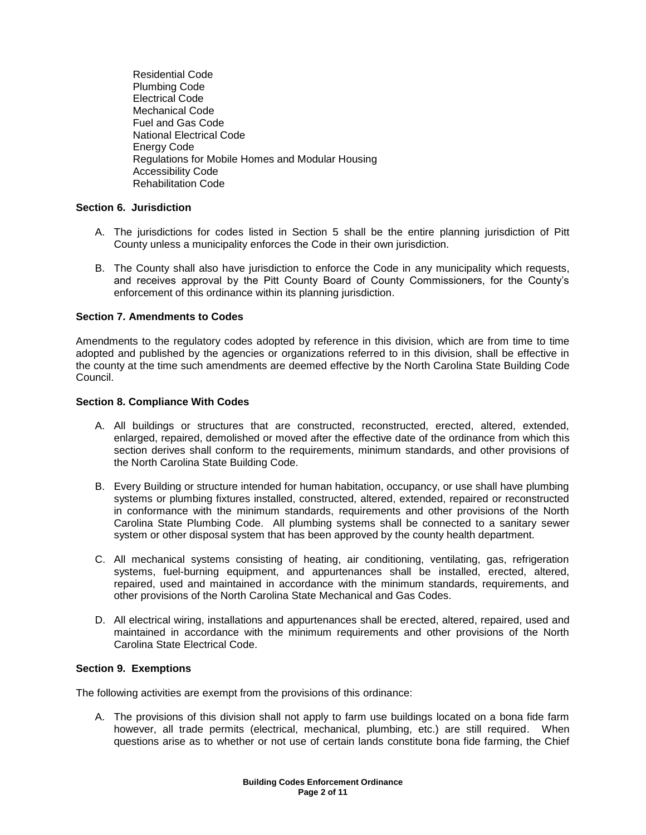Residential Code Plumbing Code Electrical Code Mechanical Code Fuel and Gas Code National Electrical Code Energy Code Regulations for Mobile Homes and Modular Housing Accessibility Code Rehabilitation Code

# **Section 6. Jurisdiction**

- A. The jurisdictions for codes listed in Section 5 shall be the entire planning jurisdiction of Pitt County unless a municipality enforces the Code in their own jurisdiction.
- B. The County shall also have jurisdiction to enforce the Code in any municipality which requests, and receives approval by the Pitt County Board of County Commissioners, for the County's enforcement of this ordinance within its planning jurisdiction.

# **Section 7. Amendments to Codes**

Amendments to the regulatory codes adopted by reference in this division, which are from time to time adopted and published by the agencies or organizations referred to in this division, shall be effective in the county at the time such amendments are deemed effective by the North Carolina State Building Code Council.

# **Section 8. Compliance With Codes**

- A. All buildings or structures that are constructed, reconstructed, erected, altered, extended, enlarged, repaired, demolished or moved after the effective date of the ordinance from which this section derives shall conform to the requirements, minimum standards, and other provisions of the North Carolina State Building Code.
- B. Every Building or structure intended for human habitation, occupancy, or use shall have plumbing systems or plumbing fixtures installed, constructed, altered, extended, repaired or reconstructed in conformance with the minimum standards, requirements and other provisions of the North Carolina State Plumbing Code. All plumbing systems shall be connected to a sanitary sewer system or other disposal system that has been approved by the county health department.
- C. All mechanical systems consisting of heating, air conditioning, ventilating, gas, refrigeration systems, fuel-burning equipment, and appurtenances shall be installed, erected, altered, repaired, used and maintained in accordance with the minimum standards, requirements, and other provisions of the North Carolina State Mechanical and Gas Codes.
- D. All electrical wiring, installations and appurtenances shall be erected, altered, repaired, used and maintained in accordance with the minimum requirements and other provisions of the North Carolina State Electrical Code.

# **Section 9. Exemptions**

The following activities are exempt from the provisions of this ordinance:

A. The provisions of this division shall not apply to farm use buildings located on a bona fide farm however, all trade permits (electrical, mechanical, plumbing, etc.) are still required. When questions arise as to whether or not use of certain lands constitute bona fide farming, the Chief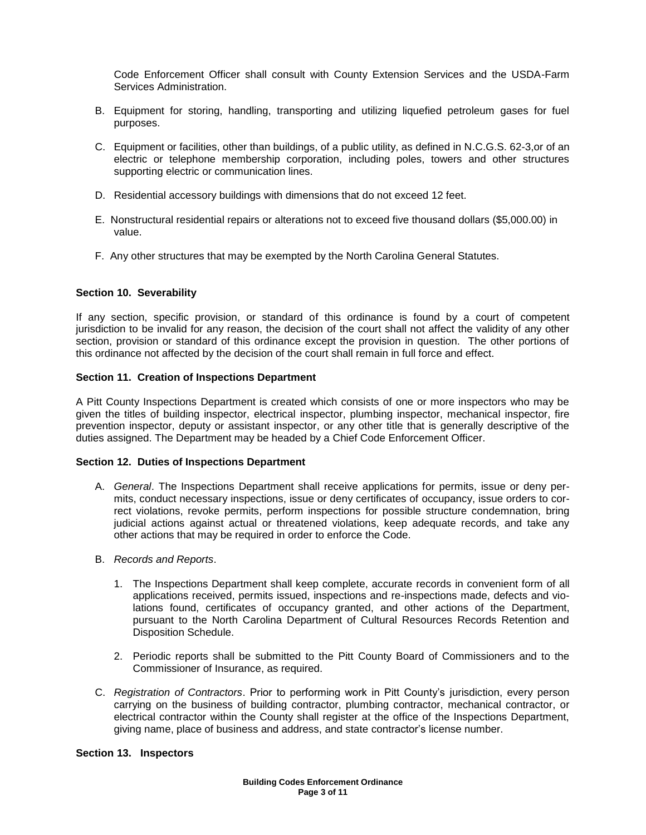Code Enforcement Officer shall consult with County Extension Services and the USDA-Farm Services Administration.

- B. Equipment for storing, handling, transporting and utilizing liquefied petroleum gases for fuel purposes.
- C. Equipment or facilities, other than buildings, of a public utility, as defined in N.C.G.S. 62-3,or of an electric or telephone membership corporation, including poles, towers and other structures supporting electric or communication lines.
- D. Residential accessory buildings with dimensions that do not exceed 12 feet.
- E. Nonstructural residential repairs or alterations not to exceed five thousand dollars (\$5,000.00) in value.
- F. Any other structures that may be exempted by the North Carolina General Statutes.

#### **Section 10. Severability**

If any section, specific provision, or standard of this ordinance is found by a court of competent jurisdiction to be invalid for any reason, the decision of the court shall not affect the validity of any other section, provision or standard of this ordinance except the provision in question. The other portions of this ordinance not affected by the decision of the court shall remain in full force and effect.

#### **Section 11. Creation of Inspections Department**

A Pitt County Inspections Department is created which consists of one or more inspectors who may be given the titles of building inspector, electrical inspector, plumbing inspector, mechanical inspector, fire prevention inspector, deputy or assistant inspector, or any other title that is generally descriptive of the duties assigned. The Department may be headed by a Chief Code Enforcement Officer.

#### **Section 12. Duties of Inspections Department**

- A. *General*. The Inspections Department shall receive applications for permits, issue or deny permits, conduct necessary inspections, issue or deny certificates of occupancy, issue orders to correct violations, revoke permits, perform inspections for possible structure condemnation, bring judicial actions against actual or threatened violations, keep adequate records, and take any other actions that may be required in order to enforce the Code.
- B. *Records and Reports*.
	- 1. The Inspections Department shall keep complete, accurate records in convenient form of all applications received, permits issued, inspections and re-inspections made, defects and violations found, certificates of occupancy granted, and other actions of the Department, pursuant to the North Carolina Department of Cultural Resources Records Retention and Disposition Schedule.
	- 2. Periodic reports shall be submitted to the Pitt County Board of Commissioners and to the Commissioner of Insurance, as required.
- C. *Registration of Contractors*. Prior to performing work in Pitt County's jurisdiction, every person carrying on the business of building contractor, plumbing contractor, mechanical contractor, or electrical contractor within the County shall register at the office of the Inspections Department, giving name, place of business and address, and state contractor's license number.

#### **Section 13. Inspectors**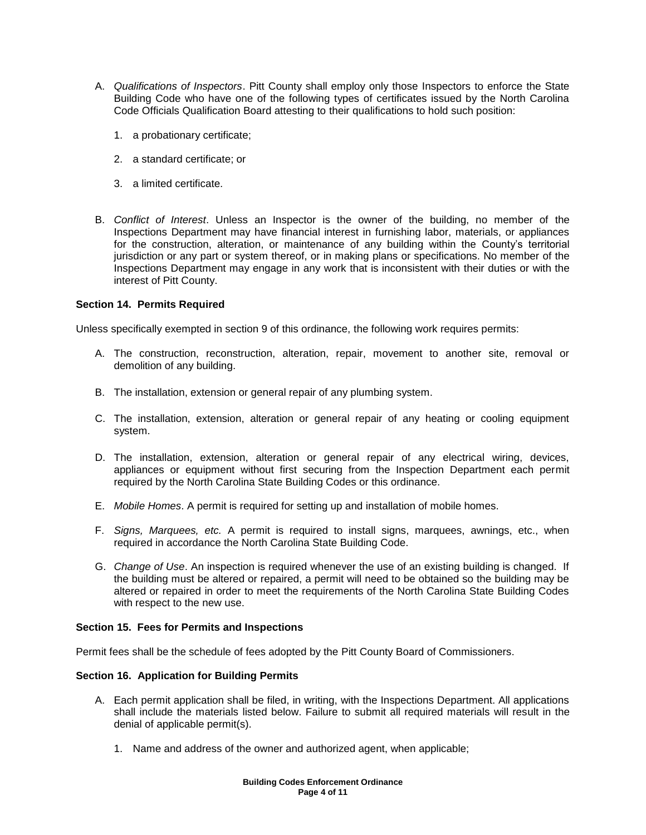- A. *Qualifications of Inspectors*. Pitt County shall employ only those Inspectors to enforce the State Building Code who have one of the following types of certificates issued by the North Carolina Code Officials Qualification Board attesting to their qualifications to hold such position:
	- 1. a probationary certificate;
	- 2. a standard certificate; or
	- 3. a limited certificate.
- B. *Conflict of Interest*. Unless an Inspector is the owner of the building, no member of the Inspections Department may have financial interest in furnishing labor, materials, or appliances for the construction, alteration, or maintenance of any building within the County's territorial jurisdiction or any part or system thereof, or in making plans or specifications. No member of the Inspections Department may engage in any work that is inconsistent with their duties or with the interest of Pitt County.

# **Section 14. Permits Required**

Unless specifically exempted in section 9 of this ordinance, the following work requires permits:

- A. The construction, reconstruction, alteration, repair, movement to another site, removal or demolition of any building.
- B. The installation, extension or general repair of any plumbing system.
- C. The installation, extension, alteration or general repair of any heating or cooling equipment system.
- D. The installation, extension, alteration or general repair of any electrical wiring, devices, appliances or equipment without first securing from the Inspection Department each permit required by the North Carolina State Building Codes or this ordinance.
- E. *Mobile Homes*. A permit is required for setting up and installation of mobile homes.
- F. *Signs, Marquees, etc.* A permit is required to install signs, marquees, awnings, etc., when required in accordance the North Carolina State Building Code.
- G. *Change of Use*. An inspection is required whenever the use of an existing building is changed. If the building must be altered or repaired, a permit will need to be obtained so the building may be altered or repaired in order to meet the requirements of the North Carolina State Building Codes with respect to the new use.

# **Section 15. Fees for Permits and Inspections**

Permit fees shall be the schedule of fees adopted by the Pitt County Board of Commissioners.

# **Section 16. Application for Building Permits**

- A. Each permit application shall be filed, in writing, with the Inspections Department. All applications shall include the materials listed below. Failure to submit all required materials will result in the denial of applicable permit(s).
	- 1. Name and address of the owner and authorized agent, when applicable;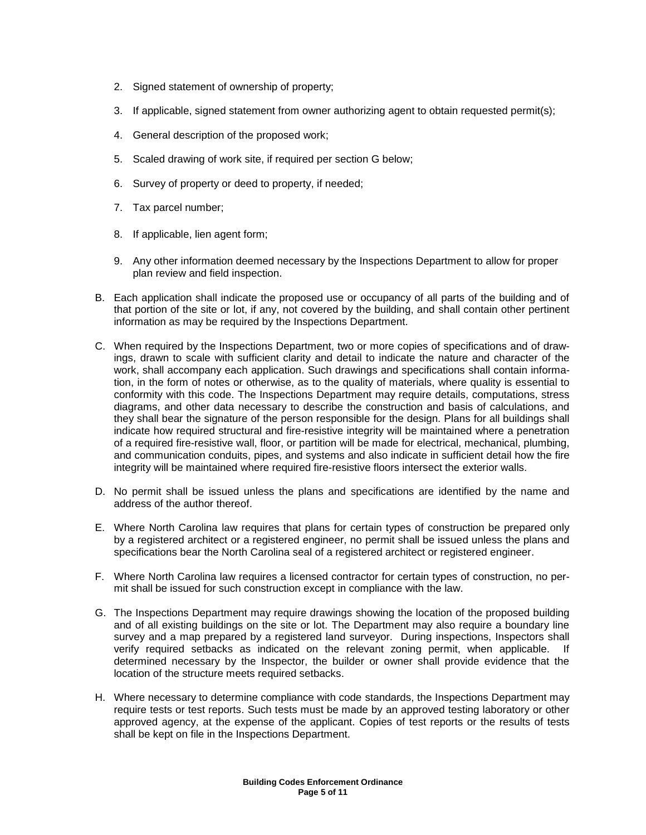- 2. Signed statement of ownership of property;
- 3. If applicable, signed statement from owner authorizing agent to obtain requested permit(s);
- 4. General description of the proposed work;
- 5. Scaled drawing of work site, if required per section G below;
- 6. Survey of property or deed to property, if needed;
- 7. Tax parcel number;
- 8. If applicable, lien agent form;
- 9. Any other information deemed necessary by the Inspections Department to allow for proper plan review and field inspection.
- B. Each application shall indicate the proposed use or occupancy of all parts of the building and of that portion of the site or lot, if any, not covered by the building, and shall contain other pertinent information as may be required by the Inspections Department.
- C. When required by the Inspections Department, two or more copies of specifications and of drawings, drawn to scale with sufficient clarity and detail to indicate the nature and character of the work, shall accompany each application. Such drawings and specifications shall contain information, in the form of notes or otherwise, as to the quality of materials, where quality is essential to conformity with this code. The Inspections Department may require details, computations, stress diagrams, and other data necessary to describe the construction and basis of calculations, and they shall bear the signature of the person responsible for the design. Plans for all buildings shall indicate how required structural and fire-resistive integrity will be maintained where a penetration of a required fire-resistive wall, floor, or partition will be made for electrical, mechanical, plumbing, and communication conduits, pipes, and systems and also indicate in sufficient detail how the fire integrity will be maintained where required fire-resistive floors intersect the exterior walls.
- D. No permit shall be issued unless the plans and specifications are identified by the name and address of the author thereof.
- E. Where North Carolina law requires that plans for certain types of construction be prepared only by a registered architect or a registered engineer, no permit shall be issued unless the plans and specifications bear the North Carolina seal of a registered architect or registered engineer.
- F. Where North Carolina law requires a licensed contractor for certain types of construction, no permit shall be issued for such construction except in compliance with the law.
- G. The Inspections Department may require drawings showing the location of the proposed building and of all existing buildings on the site or lot. The Department may also require a boundary line survey and a map prepared by a registered land surveyor. During inspections, Inspectors shall verify required setbacks as indicated on the relevant zoning permit, when applicable. If determined necessary by the Inspector, the builder or owner shall provide evidence that the location of the structure meets required setbacks.
- H. Where necessary to determine compliance with code standards, the Inspections Department may require tests or test reports. Such tests must be made by an approved testing laboratory or other approved agency, at the expense of the applicant. Copies of test reports or the results of tests shall be kept on file in the Inspections Department.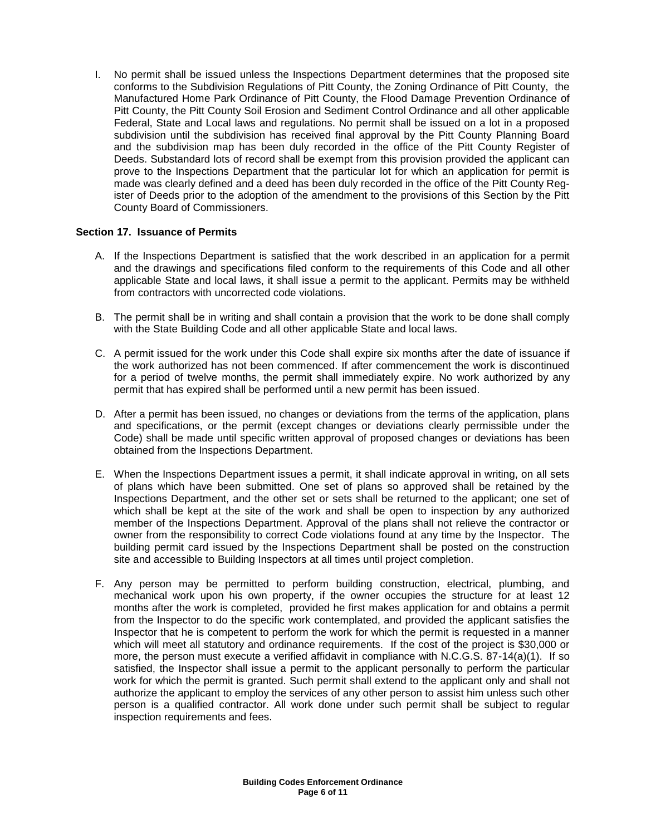I. No permit shall be issued unless the Inspections Department determines that the proposed site conforms to the Subdivision Regulations of Pitt County, the Zoning Ordinance of Pitt County, the Manufactured Home Park Ordinance of Pitt County, the Flood Damage Prevention Ordinance of Pitt County, the Pitt County Soil Erosion and Sediment Control Ordinance and all other applicable Federal, State and Local laws and regulations. No permit shall be issued on a lot in a proposed subdivision until the subdivision has received final approval by the Pitt County Planning Board and the subdivision map has been duly recorded in the office of the Pitt County Register of Deeds. Substandard lots of record shall be exempt from this provision provided the applicant can prove to the Inspections Department that the particular lot for which an application for permit is made was clearly defined and a deed has been duly recorded in the office of the Pitt County Register of Deeds prior to the adoption of the amendment to the provisions of this Section by the Pitt County Board of Commissioners.

# **Section 17. Issuance of Permits**

- A. If the Inspections Department is satisfied that the work described in an application for a permit and the drawings and specifications filed conform to the requirements of this Code and all other applicable State and local laws, it shall issue a permit to the applicant. Permits may be withheld from contractors with uncorrected code violations.
- B. The permit shall be in writing and shall contain a provision that the work to be done shall comply with the State Building Code and all other applicable State and local laws.
- C. A permit issued for the work under this Code shall expire six months after the date of issuance if the work authorized has not been commenced. If after commencement the work is discontinued for a period of twelve months, the permit shall immediately expire. No work authorized by any permit that has expired shall be performed until a new permit has been issued.
- D. After a permit has been issued, no changes or deviations from the terms of the application, plans and specifications, or the permit (except changes or deviations clearly permissible under the Code) shall be made until specific written approval of proposed changes or deviations has been obtained from the Inspections Department.
- E. When the Inspections Department issues a permit, it shall indicate approval in writing, on all sets of plans which have been submitted. One set of plans so approved shall be retained by the Inspections Department, and the other set or sets shall be returned to the applicant; one set of which shall be kept at the site of the work and shall be open to inspection by any authorized member of the Inspections Department. Approval of the plans shall not relieve the contractor or owner from the responsibility to correct Code violations found at any time by the Inspector. The building permit card issued by the Inspections Department shall be posted on the construction site and accessible to Building Inspectors at all times until project completion.
- F. Any person may be permitted to perform building construction, electrical, plumbing, and mechanical work upon his own property, if the owner occupies the structure for at least 12 months after the work is completed, provided he first makes application for and obtains a permit from the Inspector to do the specific work contemplated, and provided the applicant satisfies the Inspector that he is competent to perform the work for which the permit is requested in a manner which will meet all statutory and ordinance requirements. If the cost of the project is \$30,000 or more, the person must execute a verified affidavit in compliance with N.C.G.S. 87-14(a)(1). If so satisfied, the Inspector shall issue a permit to the applicant personally to perform the particular work for which the permit is granted. Such permit shall extend to the applicant only and shall not authorize the applicant to employ the services of any other person to assist him unless such other person is a qualified contractor. All work done under such permit shall be subject to regular inspection requirements and fees.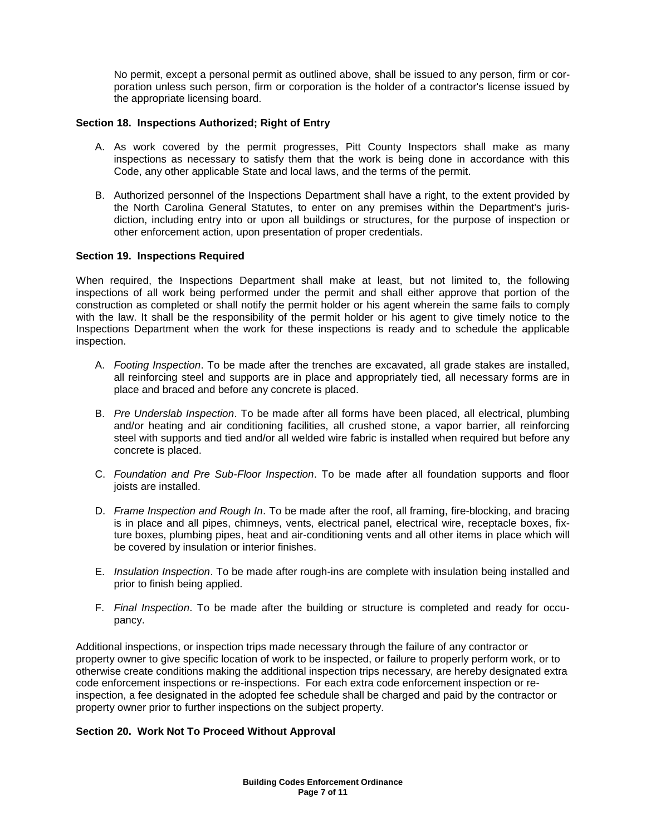No permit, except a personal permit as outlined above, shall be issued to any person, firm or corporation unless such person, firm or corporation is the holder of a contractor's license issued by the appropriate licensing board.

# **Section 18. Inspections Authorized; Right of Entry**

- A. As work covered by the permit progresses, Pitt County Inspectors shall make as many inspections as necessary to satisfy them that the work is being done in accordance with this Code, any other applicable State and local laws, and the terms of the permit.
- B. Authorized personnel of the Inspections Department shall have a right, to the extent provided by the North Carolina General Statutes, to enter on any premises within the Department's jurisdiction, including entry into or upon all buildings or structures, for the purpose of inspection or other enforcement action, upon presentation of proper credentials.

#### **Section 19. Inspections Required**

When required, the Inspections Department shall make at least, but not limited to, the following inspections of all work being performed under the permit and shall either approve that portion of the construction as completed or shall notify the permit holder or his agent wherein the same fails to comply with the law. It shall be the responsibility of the permit holder or his agent to give timely notice to the Inspections Department when the work for these inspections is ready and to schedule the applicable inspection.

- A. *Footing Inspection*. To be made after the trenches are excavated, all grade stakes are installed, all reinforcing steel and supports are in place and appropriately tied, all necessary forms are in place and braced and before any concrete is placed.
- B. *Pre Underslab Inspection*. To be made after all forms have been placed, all electrical, plumbing and/or heating and air conditioning facilities, all crushed stone, a vapor barrier, all reinforcing steel with supports and tied and/or all welded wire fabric is installed when required but before any concrete is placed.
- C. *Foundation and Pre Sub-Floor Inspection*. To be made after all foundation supports and floor joists are installed.
- D. *Frame Inspection and Rough In*. To be made after the roof, all framing, fire-blocking, and bracing is in place and all pipes, chimneys, vents, electrical panel, electrical wire, receptacle boxes, fixture boxes, plumbing pipes, heat and air-conditioning vents and all other items in place which will be covered by insulation or interior finishes.
- E. *Insulation Inspection*. To be made after rough-ins are complete with insulation being installed and prior to finish being applied.
- F. *Final Inspection*. To be made after the building or structure is completed and ready for occupancy.

Additional inspections, or inspection trips made necessary through the failure of any contractor or property owner to give specific location of work to be inspected, or failure to properly perform work, or to otherwise create conditions making the additional inspection trips necessary, are hereby designated extra code enforcement inspections or re-inspections. For each extra code enforcement inspection or reinspection, a fee designated in the adopted fee schedule shall be charged and paid by the contractor or property owner prior to further inspections on the subject property.

#### **Section 20. Work Not To Proceed Without Approval**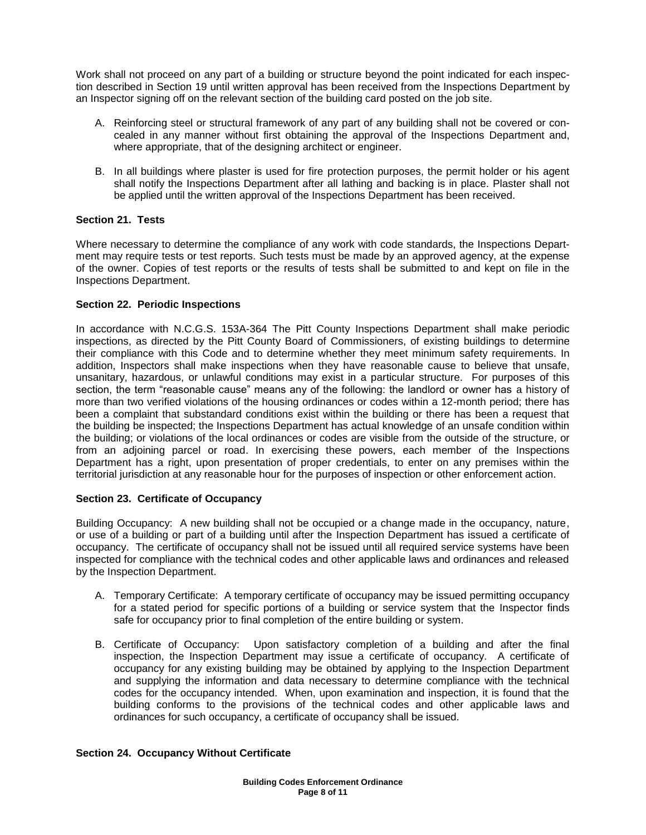Work shall not proceed on any part of a building or structure beyond the point indicated for each inspection described in Section 19 until written approval has been received from the Inspections Department by an Inspector signing off on the relevant section of the building card posted on the job site.

- A. Reinforcing steel or structural framework of any part of any building shall not be covered or concealed in any manner without first obtaining the approval of the Inspections Department and, where appropriate, that of the designing architect or engineer.
- B. In all buildings where plaster is used for fire protection purposes, the permit holder or his agent shall notify the Inspections Department after all lathing and backing is in place. Plaster shall not be applied until the written approval of the Inspections Department has been received.

# **Section 21. Tests**

Where necessary to determine the compliance of any work with code standards, the Inspections Department may require tests or test reports. Such tests must be made by an approved agency, at the expense of the owner. Copies of test reports or the results of tests shall be submitted to and kept on file in the Inspections Department.

# **Section 22. Periodic Inspections**

In accordance with N.C.G.S. 153A-364 The Pitt County Inspections Department shall make periodic inspections, as directed by the Pitt County Board of Commissioners, of existing buildings to determine their compliance with this Code and to determine whether they meet minimum safety requirements. In addition, Inspectors shall make inspections when they have reasonable cause to believe that unsafe, unsanitary, hazardous, or unlawful conditions may exist in a particular structure. For purposes of this section, the term "reasonable cause" means any of the following: the landlord or owner has a history of more than two verified violations of the housing ordinances or codes within a 12-month period; there has been a complaint that substandard conditions exist within the building or there has been a request that the building be inspected; the Inspections Department has actual knowledge of an unsafe condition within the building; or violations of the local ordinances or codes are visible from the outside of the structure, or from an adjoining parcel or road. In exercising these powers, each member of the Inspections Department has a right, upon presentation of proper credentials, to enter on any premises within the territorial jurisdiction at any reasonable hour for the purposes of inspection or other enforcement action.

# **Section 23. Certificate of Occupancy**

Building Occupancy: A new building shall not be occupied or a change made in the occupancy, nature, or use of a building or part of a building until after the Inspection Department has issued a certificate of occupancy. The certificate of occupancy shall not be issued until all required service systems have been inspected for compliance with the technical codes and other applicable laws and ordinances and released by the Inspection Department.

- A. Temporary Certificate: A temporary certificate of occupancy may be issued permitting occupancy for a stated period for specific portions of a building or service system that the Inspector finds safe for occupancy prior to final completion of the entire building or system.
- B. Certificate of Occupancy: Upon satisfactory completion of a building and after the final inspection, the Inspection Department may issue a certificate of occupancy. A certificate of occupancy for any existing building may be obtained by applying to the Inspection Department and supplying the information and data necessary to determine compliance with the technical codes for the occupancy intended. When, upon examination and inspection, it is found that the building conforms to the provisions of the technical codes and other applicable laws and ordinances for such occupancy, a certificate of occupancy shall be issued.

# **Section 24. Occupancy Without Certificate**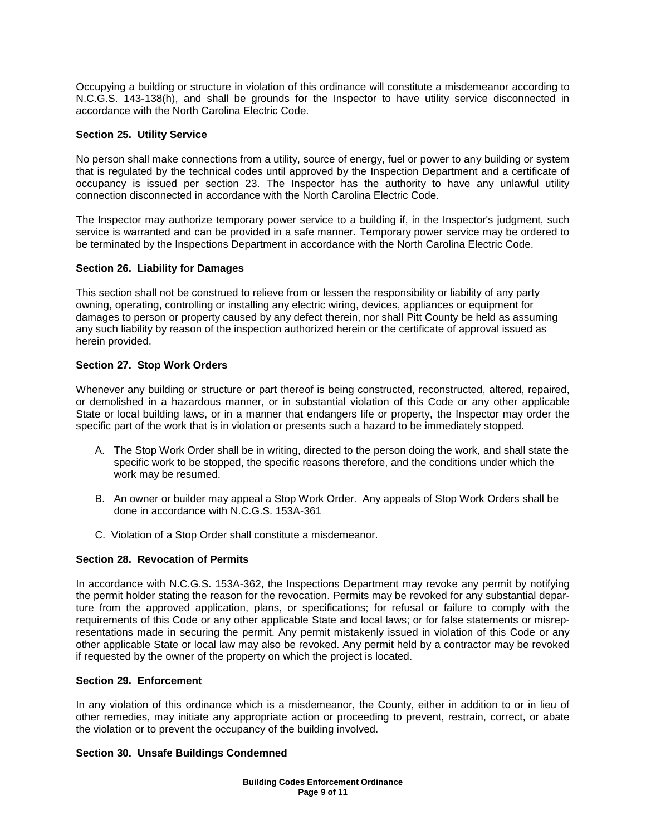Occupying a building or structure in violation of this ordinance will constitute a misdemeanor according to N.C.G.S. 143-138(h), and shall be grounds for the Inspector to have utility service disconnected in accordance with the North Carolina Electric Code.

### **Section 25. Utility Service**

No person shall make connections from a utility, source of energy, fuel or power to any building or system that is regulated by the technical codes until approved by the Inspection Department and a certificate of occupancy is issued per section 23. The Inspector has the authority to have any unlawful utility connection disconnected in accordance with the North Carolina Electric Code.

The Inspector may authorize temporary power service to a building if, in the Inspector's judgment, such service is warranted and can be provided in a safe manner. Temporary power service may be ordered to be terminated by the Inspections Department in accordance with the North Carolina Electric Code.

#### **Section 26. Liability for Damages**

This section shall not be construed to relieve from or lessen the responsibility or liability of any party owning, operating, controlling or installing any electric wiring, devices, appliances or equipment for damages to person or property caused by any defect therein, nor shall Pitt County be held as assuming any such liability by reason of the inspection authorized herein or the certificate of approval issued as herein provided.

#### **Section 27. Stop Work Orders**

Whenever any building or structure or part thereof is being constructed, reconstructed, altered, repaired, or demolished in a hazardous manner, or in substantial violation of this Code or any other applicable State or local building laws, or in a manner that endangers life or property, the Inspector may order the specific part of the work that is in violation or presents such a hazard to be immediately stopped.

- A. The Stop Work Order shall be in writing, directed to the person doing the work, and shall state the specific work to be stopped, the specific reasons therefore, and the conditions under which the work may be resumed.
- B. An owner or builder may appeal a Stop Work Order. Any appeals of Stop Work Orders shall be done in accordance with N.C.G.S. 153A-361
- C. Violation of a Stop Order shall constitute a misdemeanor.

# **Section 28. Revocation of Permits**

In accordance with N.C.G.S. 153A-362, the Inspections Department may revoke any permit by notifying the permit holder stating the reason for the revocation. Permits may be revoked for any substantial departure from the approved application, plans, or specifications; for refusal or failure to comply with the requirements of this Code or any other applicable State and local laws; or for false statements or misrepresentations made in securing the permit. Any permit mistakenly issued in violation of this Code or any other applicable State or local law may also be revoked. Any permit held by a contractor may be revoked if requested by the owner of the property on which the project is located.

#### **Section 29. Enforcement**

In any violation of this ordinance which is a misdemeanor, the County, either in addition to or in lieu of other remedies, may initiate any appropriate action or proceeding to prevent, restrain, correct, or abate the violation or to prevent the occupancy of the building involved.

### **Section 30. Unsafe Buildings Condemned**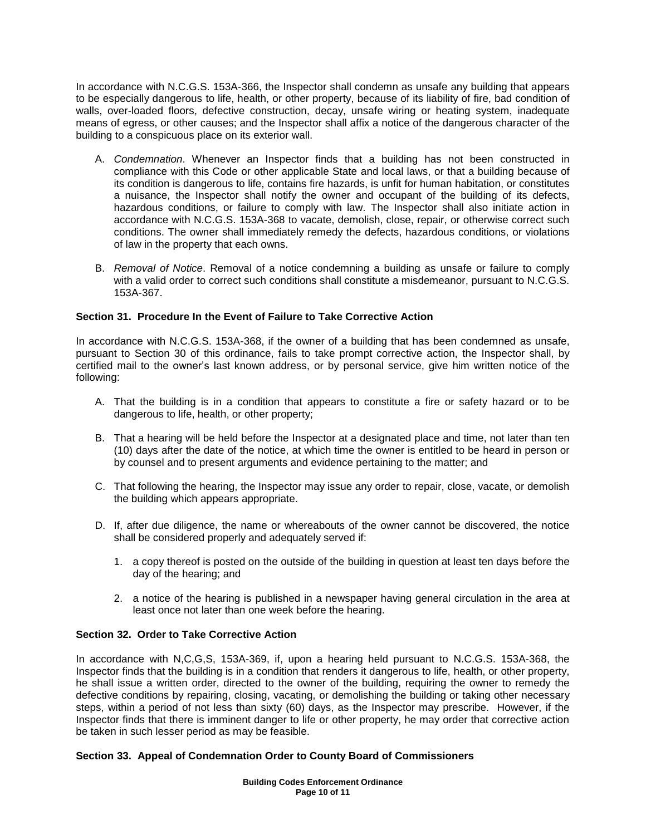In accordance with N.C.G.S. 153A-366, the Inspector shall condemn as unsafe any building that appears to be especially dangerous to life, health, or other property, because of its liability of fire, bad condition of walls, over-loaded floors, defective construction, decay, unsafe wiring or heating system, inadequate means of egress, or other causes; and the Inspector shall affix a notice of the dangerous character of the building to a conspicuous place on its exterior wall.

- A. *Condemnation*. Whenever an Inspector finds that a building has not been constructed in compliance with this Code or other applicable State and local laws, or that a building because of its condition is dangerous to life, contains fire hazards, is unfit for human habitation, or constitutes a nuisance, the Inspector shall notify the owner and occupant of the building of its defects, hazardous conditions, or failure to comply with law. The Inspector shall also initiate action in accordance with N.C.G.S. 153A-368 to vacate, demolish, close, repair, or otherwise correct such conditions. The owner shall immediately remedy the defects, hazardous conditions, or violations of law in the property that each owns.
- B. *Removal of Notice*. Removal of a notice condemning a building as unsafe or failure to comply with a valid order to correct such conditions shall constitute a misdemeanor, pursuant to N.C.G.S. 153A-367.

# **Section 31. Procedure In the Event of Failure to Take Corrective Action**

In accordance with N.C.G.S. 153A-368, if the owner of a building that has been condemned as unsafe, pursuant to Section 30 of this ordinance, fails to take prompt corrective action, the Inspector shall, by certified mail to the owner's last known address, or by personal service, give him written notice of the following:

- A. That the building is in a condition that appears to constitute a fire or safety hazard or to be dangerous to life, health, or other property;
- B. That a hearing will be held before the Inspector at a designated place and time, not later than ten (10) days after the date of the notice, at which time the owner is entitled to be heard in person or by counsel and to present arguments and evidence pertaining to the matter; and
- C. That following the hearing, the Inspector may issue any order to repair, close, vacate, or demolish the building which appears appropriate.
- D. If, after due diligence, the name or whereabouts of the owner cannot be discovered, the notice shall be considered properly and adequately served if:
	- 1. a copy thereof is posted on the outside of the building in question at least ten days before the day of the hearing; and
	- 2. a notice of the hearing is published in a newspaper having general circulation in the area at least once not later than one week before the hearing.

# **Section 32. Order to Take Corrective Action**

In accordance with N,C,G,S, 153A-369, if, upon a hearing held pursuant to N.C.G.S. 153A-368, the Inspector finds that the building is in a condition that renders it dangerous to life, health, or other property, he shall issue a written order, directed to the owner of the building, requiring the owner to remedy the defective conditions by repairing, closing, vacating, or demolishing the building or taking other necessary steps, within a period of not less than sixty (60) days, as the Inspector may prescribe. However, if the Inspector finds that there is imminent danger to life or other property, he may order that corrective action be taken in such lesser period as may be feasible.

# **Section 33. Appeal of Condemnation Order to County Board of Commissioners**